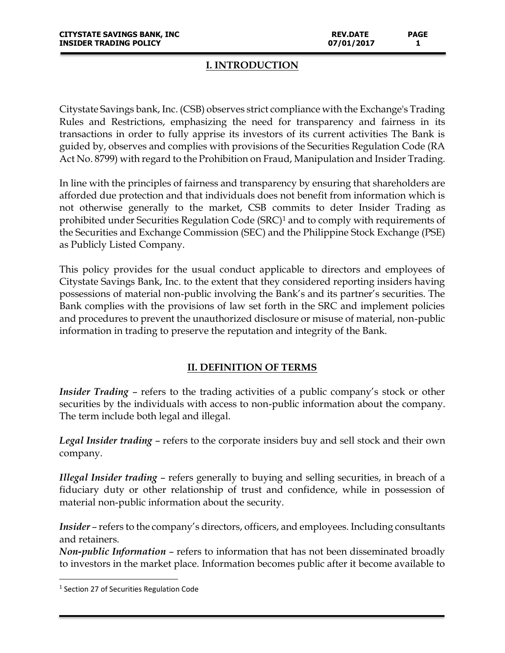#### **I. INTRODUCTION**

Citystate Savings bank, Inc. (CSB) observes strict compliance with the Exchange's Trading Rules and Restrictions, emphasizing the need for transparency and fairness in its transactions in order to fully apprise its investors of its current activities The Bank is guided by, observes and complies with provisions of the Securities Regulation Code (RA Act No. 8799) with regard to the Prohibition on Fraud, Manipulation and Insider Trading.

In line with the principles of fairness and transparency by ensuring that shareholders are afforded due protection and that individuals does not benefit from information which is not otherwise generally to the market, CSB commits to deter Insider Trading as prohibited under Securities Regulation Code (SRC)<sup>1</sup> and to comply with requirements of the Securities and Exchange Commission (SEC) and the Philippine Stock Exchange (PSE) as Publicly Listed Company.

This policy provides for the usual conduct applicable to directors and employees of Citystate Savings Bank, Inc. to the extent that they considered reporting insiders having possessions of material non-public involving the Bank's and its partner's securities. The Bank complies with the provisions of law set forth in the SRC and implement policies and procedures to prevent the unauthorized disclosure or misuse of material, non-public information in trading to preserve the reputation and integrity of the Bank.

## **II. DEFINITION OF TERMS**

*Insider Trading* – refers to the trading activities of a public company's stock or other securities by the individuals with access to non-public information about the company. The term include both legal and illegal.

*Legal Insider trading* – refers to the corporate insiders buy and sell stock and their own company.

*Illegal Insider trading* – refers generally to buying and selling securities, in breach of a fiduciary duty or other relationship of trust and confidence, while in possession of material non-public information about the security.

*Insider* – refers to the company's directors, officers, and employees. Including consultants and retainers.

*Non-public Information* – refers to information that has not been disseminated broadly to investors in the market place. Information becomes public after it become available to

l

<sup>&</sup>lt;sup>1</sup> Section 27 of Securities Regulation Code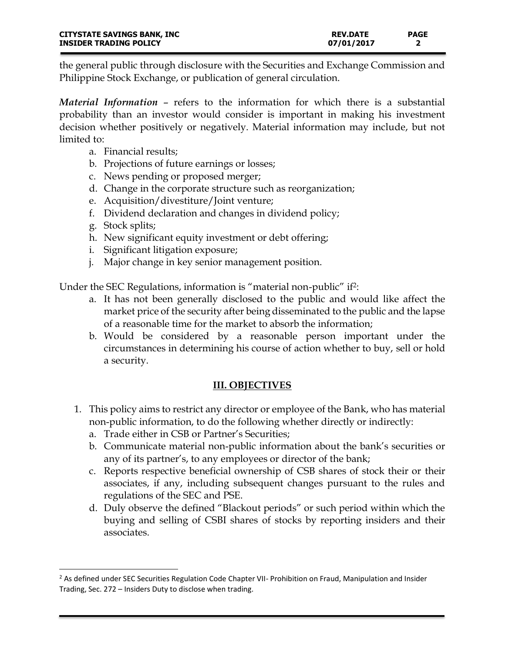the general public through disclosure with the Securities and Exchange Commission and Philippine Stock Exchange, or publication of general circulation.

*Material Information* – refers to the information for which there is a substantial probability than an investor would consider is important in making his investment decision whether positively or negatively. Material information may include, but not limited to:

- a. Financial results;
- b. Projections of future earnings or losses;
- c. News pending or proposed merger;
- d. Change in the corporate structure such as reorganization;
- e. Acquisition/divestiture/Joint venture;
- f. Dividend declaration and changes in dividend policy;
- g. Stock splits;

 $\overline{a}$ 

- h. New significant equity investment or debt offering;
- i. Significant litigation exposure;
- j. Major change in key senior management position.

Under the SEC Regulations, information is "material non-public" if2:

- a. It has not been generally disclosed to the public and would like affect the market price of the security after being disseminated to the public and the lapse of a reasonable time for the market to absorb the information;
- b. Would be considered by a reasonable person important under the circumstances in determining his course of action whether to buy, sell or hold a security.

# **III. OBJECTIVES**

- 1. This policy aims to restrict any director or employee of the Bank, who has material non-public information, to do the following whether directly or indirectly:
	- a. Trade either in CSB or Partner's Securities;
	- b. Communicate material non-public information about the bank's securities or any of its partner's, to any employees or director of the bank;
	- c. Reports respective beneficial ownership of CSB shares of stock their or their associates, if any, including subsequent changes pursuant to the rules and regulations of the SEC and PSE.
	- d. Duly observe the defined "Blackout periods" or such period within which the buying and selling of CSBI shares of stocks by reporting insiders and their associates.

<sup>&</sup>lt;sup>2</sup> As defined under SEC Securities Regulation Code Chapter VII- Prohibition on Fraud, Manipulation and Insider Trading, Sec. 272 – Insiders Duty to disclose when trading.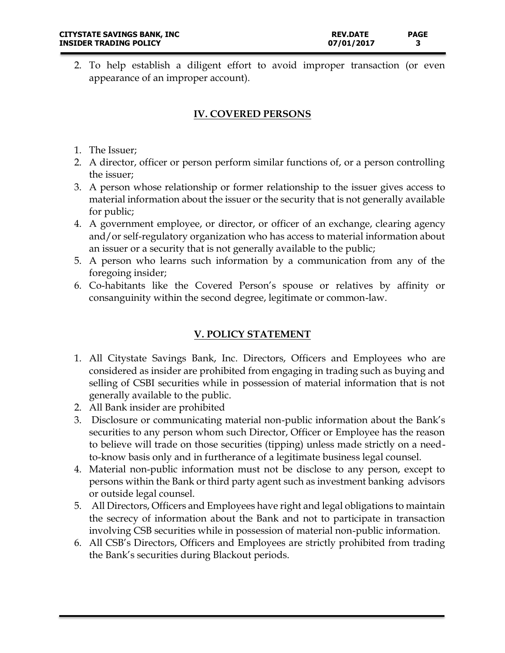2. To help establish a diligent effort to avoid improper transaction (or even appearance of an improper account).

## **IV. COVERED PERSONS**

- 1. The Issuer;
- 2. A director, officer or person perform similar functions of, or a person controlling the issuer;
- 3. A person whose relationship or former relationship to the issuer gives access to material information about the issuer or the security that is not generally available for public;
- 4. A government employee, or director, or officer of an exchange, clearing agency and/or self-regulatory organization who has access to material information about an issuer or a security that is not generally available to the public;
- 5. A person who learns such information by a communication from any of the foregoing insider;
- 6. Co-habitants like the Covered Person's spouse or relatives by affinity or consanguinity within the second degree, legitimate or common-law.

## **V. POLICY STATEMENT**

- 1. All Citystate Savings Bank, Inc. Directors, Officers and Employees who are considered as insider are prohibited from engaging in trading such as buying and selling of CSBI securities while in possession of material information that is not generally available to the public.
- 2. All Bank insider are prohibited
- 3. Disclosure or communicating material non-public information about the Bank's securities to any person whom such Director, Officer or Employee has the reason to believe will trade on those securities (tipping) unless made strictly on a needto-know basis only and in furtherance of a legitimate business legal counsel.
- 4. Material non-public information must not be disclose to any person, except to persons within the Bank or third party agent such as investment banking advisors or outside legal counsel.
- 5. All Directors, Officers and Employees have right and legal obligations to maintain the secrecy of information about the Bank and not to participate in transaction involving CSB securities while in possession of material non-public information.
- 6. All CSB's Directors, Officers and Employees are strictly prohibited from trading the Bank's securities during Blackout periods.